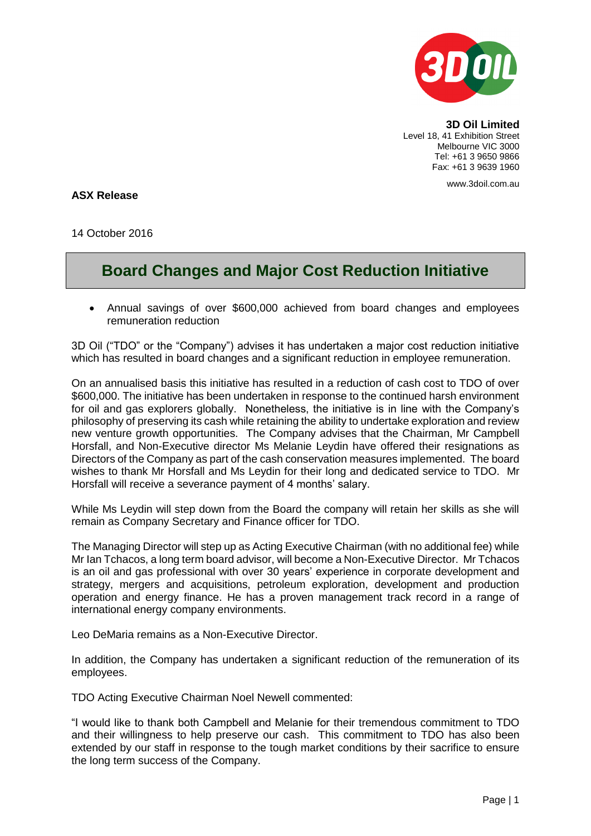

**3D Oil Limited** Level 18, 41 Exhibition Street Melbourne VIC 3000 Tel: +61 3 9650 9866 Fax: +61 3 9639 1960

www.3doil.com.au

**ASX Release**

14 October 2016

## **Board Changes and Major Cost Reduction Initiative**

 Annual savings of over \$600,000 achieved from board changes and employees remuneration reduction

3D Oil ("TDO" or the "Company") advises it has undertaken a major cost reduction initiative which has resulted in board changes and a significant reduction in employee remuneration.

On an annualised basis this initiative has resulted in a reduction of cash cost to TDO of over \$600,000. The initiative has been undertaken in response to the continued harsh environment for oil and gas explorers globally. Nonetheless, the initiative is in line with the Company's philosophy of preserving its cash while retaining the ability to undertake exploration and review new venture growth opportunities. The Company advises that the Chairman, Mr Campbell Horsfall, and Non-Executive director Ms Melanie Leydin have offered their resignations as Directors of the Company as part of the cash conservation measures implemented. The board wishes to thank Mr Horsfall and Ms Leydin for their long and dedicated service to TDO. Mr Horsfall will receive a severance payment of 4 months' salary.

While Ms Leydin will step down from the Board the company will retain her skills as she will remain as Company Secretary and Finance officer for TDO.

The Managing Director will step up as Acting Executive Chairman (with no additional fee) while Mr Ian Tchacos, a long term board advisor, will become a Non-Executive Director. Mr Tchacos is an oil and gas professional with over 30 years' experience in corporate development and strategy, mergers and acquisitions, petroleum exploration, development and production operation and energy finance. He has a proven management track record in a range of international energy company environments.

Leo DeMaria remains as a Non-Executive Director.

In addition, the Company has undertaken a significant reduction of the remuneration of its employees.

TDO Acting Executive Chairman Noel Newell commented:

"I would like to thank both Campbell and Melanie for their tremendous commitment to TDO and their willingness to help preserve our cash. This commitment to TDO has also been extended by our staff in response to the tough market conditions by their sacrifice to ensure the long term success of the Company.